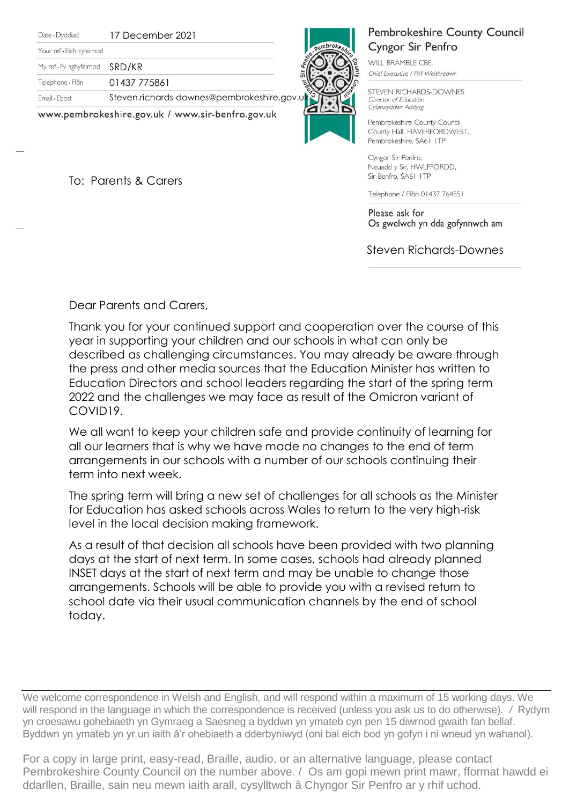Date · Dyddiad

17 December 2021

Your ref . Eich cyfeimod

My ref · Fy nghyfeirnod SRD/KR

Telephone · Ffôn 01437 775861

Email . Ebost

Steven.richards-downes@pembrokeshire.gov

www.pembrokeshire.gov.uk / www.sir-benfro.gov.uk

To: Parents & Carers

**Pembrokeshire County Council** Cyngor Sir Penfro

WILL BRAMBLE CBE. Chief Executive / Prif Weithredwr

STEVEN RICHARDS-DOWNES Director of Education Cyfarwyddwr Addysg

Pembrokeshire County Council, County Hall, HAVERFORDWEST, Pembrokeshire, SA61 ITP

Cyngor Sir Penfro, Neuadd y Sir, HWLFFORDD, Sir Benfro, SA61 ITP

Telephone / Ffôn 01437 764551

Please ask for Os gwelwch yn dda gofynnwch am

Steven Richards-Downes

Dear Parents and Carers,

Thank you for your continued support and cooperation over the course of this year in supporting your children and our schools in what can only be described as challenging circumstances. You may already be aware through the press and other media sources that the Education Minister has written to Education Directors and school leaders regarding the start of the spring term 2022 and the challenges we may face as result of the Omicron variant of COVID19.

We all want to keep your children safe and provide continuity of learning for all our learners that is why we have made no changes to the end of term arrangements in our schools with a number of our schools continuing their term into next week.

The spring term will bring a new set of challenges for all schools as the Minister for Education has asked schools across Wales to return to the very high-risk level in the local decision making framework.

As a result of that decision all schools have been provided with two planning days at the start of next term. In some cases, schools had already planned INSET days at the start of next term and may be unable to change those arrangements. Schools will be able to provide you with a revised return to school date via their usual communication channels by the end of school today.

We welcome correspondence in Welsh and English, and will respond within a maximum of 15 working days. We will respond in the language in which the correspondence is received (unless you ask us to do otherwise). */* Rydym yn croesawu gohebiaeth yn Gymraeg a Saesneg a byddwn yn ymateb cyn pen 15 diwrnod gwaith fan bellaf. Byddwn yn ymateb yn yr un iaith â'r ohebiaeth a dderbyniwyd (oni bai eich bod yn gofyn i ni wneud yn wahanol).

For a copy in large print, easy-read, Braille, audio, or an alternative language, please contact Pembrokeshire County Council on the number above. / Os am gopi mewn print mawr, fformat hawdd ei ddarllen, Braille, sain neu mewn iaith arall, cysylltwch â Chyngor Sir Penfro ar y rhif uchod.